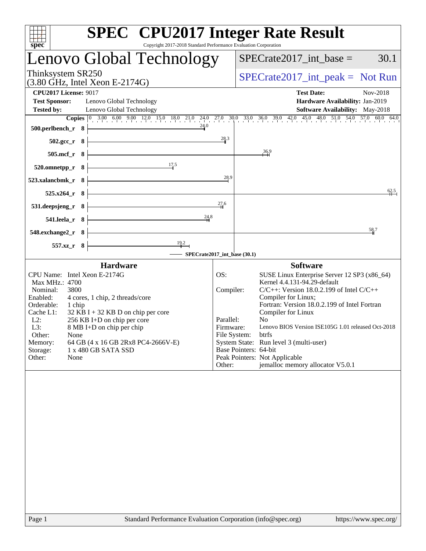| <b>SPEC<sup>®</sup></b> CPU2017 Integer Rate Result<br>Copyright 2017-2018 Standard Performance Evaluation Corporation<br>spec                                                                                                                                                                                                                                                                                         |                                                      |                                                                                                                                                                                                                                                                                                                                                                                                                                                                                        |
|------------------------------------------------------------------------------------------------------------------------------------------------------------------------------------------------------------------------------------------------------------------------------------------------------------------------------------------------------------------------------------------------------------------------|------------------------------------------------------|----------------------------------------------------------------------------------------------------------------------------------------------------------------------------------------------------------------------------------------------------------------------------------------------------------------------------------------------------------------------------------------------------------------------------------------------------------------------------------------|
| Lenovo Global Technology                                                                                                                                                                                                                                                                                                                                                                                               |                                                      | 30.1<br>$SPECrate2017\_int\_base =$                                                                                                                                                                                                                                                                                                                                                                                                                                                    |
| Thinksystem SR250<br>$(3.80$ GHz, Intel Xeon E-2174G)                                                                                                                                                                                                                                                                                                                                                                  |                                                      | $SPECrate2017\_int\_peak = Not Run$                                                                                                                                                                                                                                                                                                                                                                                                                                                    |
| <b>CPU2017 License: 9017</b><br><b>Test Sponsor:</b><br>Lenovo Global Technology<br>Lenovo Global Technology<br><b>Tested by:</b>                                                                                                                                                                                                                                                                                      |                                                      | <b>Test Date:</b><br>Nov-2018<br>Hardware Availability: Jan-2019<br>Software Availability: May-2018                                                                                                                                                                                                                                                                                                                                                                                    |
| 24.0<br>500.perlbench_r 8                                                                                                                                                                                                                                                                                                                                                                                              | 28.3                                                 | <b>Copies</b> $\begin{bmatrix} 0 & 3.00 & 6.00 & 9.00 & 12.0 & 15.0 & 18.0 & 21.0 & 24.0 & 27.0 & 30.0 & 33.0 & 36.0 & 39.0 & 42.0 & 45.0 & 48.0 & 51.0 & 54.0 & 57.0 & 60.0 & 64.0 & 56.0 & 57.0 & 57.0 & 57.0 & 57.0 & 57.0 & 57.0 & 57.0 & 57.0 & 58.0 & 57.0 & 57.0 & 57.0$                                                                                                                                                                                                        |
| $502.\text{gcc}_r$ 8<br>505.mcf_r<br>- 8                                                                                                                                                                                                                                                                                                                                                                               |                                                      | 36.9                                                                                                                                                                                                                                                                                                                                                                                                                                                                                   |
| 17.5<br>520.omnetpp_r 8                                                                                                                                                                                                                                                                                                                                                                                                | 28.9                                                 |                                                                                                                                                                                                                                                                                                                                                                                                                                                                                        |
| 523.xalancbmk r 8<br>525.x264_r 8                                                                                                                                                                                                                                                                                                                                                                                      |                                                      | 62.5                                                                                                                                                                                                                                                                                                                                                                                                                                                                                   |
| 531.deepsjeng_r<br>8 <sup>1</sup><br>24.8<br>541.leela_r 8                                                                                                                                                                                                                                                                                                                                                             | 276                                                  |                                                                                                                                                                                                                                                                                                                                                                                                                                                                                        |
| 548.exchange2_r 8                                                                                                                                                                                                                                                                                                                                                                                                      |                                                      | 58.7                                                                                                                                                                                                                                                                                                                                                                                                                                                                                   |
| $\begin{array}{c}\n 19.2 \\  \hline\n \end{array}$<br>557.xz_r 8<br>- SPECrate2017_int_base (30.1)                                                                                                                                                                                                                                                                                                                     |                                                      |                                                                                                                                                                                                                                                                                                                                                                                                                                                                                        |
| <b>Hardware</b><br>CPU Name: Intel Xeon E-2174G<br>Max MHz.: 4700<br>Nominal:<br>3800<br>Enabled:<br>4 cores, 1 chip, 2 threads/core<br>Orderable:<br>1 chip<br>Cache L1:<br>$32$ KB I + 32 KB D on chip per core<br>256 KB I+D on chip per core<br>$L2$ :<br>L3:<br>8 MB I+D on chip per chip<br>Other:<br>None<br>Memory:<br>64 GB (4 x 16 GB 2Rx8 PC4-2666V-E)<br>Storage:<br>1 x 480 GB SATA SSD<br>Other:<br>None | OS:<br>Compiler:<br>Parallel:<br>Firmware:<br>Other: | <b>Software</b><br>SUSE Linux Enterprise Server 12 SP3 (x86_64)<br>Kernel 4.4.131-94.29-default<br>$C/C++$ : Version 18.0.2.199 of Intel $C/C++$<br>Compiler for Linux;<br>Fortran: Version 18.0.2.199 of Intel Fortran<br>Compiler for Linux<br>N <sub>o</sub><br>Lenovo BIOS Version ISE105G 1.01 released Oct-2018<br>File System:<br>btrfs<br>System State: Run level 3 (multi-user)<br>Base Pointers: 64-bit<br>Peak Pointers: Not Applicable<br>jemalloc memory allocator V5.0.1 |
|                                                                                                                                                                                                                                                                                                                                                                                                                        |                                                      |                                                                                                                                                                                                                                                                                                                                                                                                                                                                                        |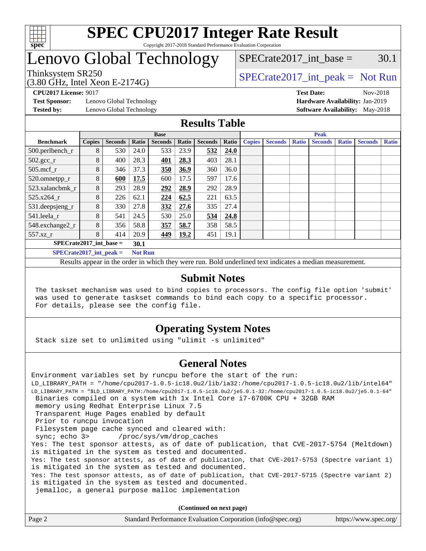

## Lenovo Global Technology

 $SPECTate2017\_int\_base = 30.1$ 

(3.80 GHz, Intel Xeon E-2174G)

Thinksystem SR250  $SPECrate2017$ \_int\_peak = Not Run

**[Test Sponsor:](http://www.spec.org/auto/cpu2017/Docs/result-fields.html#TestSponsor)** Lenovo Global Technology **[Hardware Availability:](http://www.spec.org/auto/cpu2017/Docs/result-fields.html#HardwareAvailability)** Jan-2019

**[CPU2017 License:](http://www.spec.org/auto/cpu2017/Docs/result-fields.html#CPU2017License)** 9017 **[Test Date:](http://www.spec.org/auto/cpu2017/Docs/result-fields.html#TestDate)** Nov-2018 **[Tested by:](http://www.spec.org/auto/cpu2017/Docs/result-fields.html#Testedby)** Lenovo Global Technology **[Software Availability:](http://www.spec.org/auto/cpu2017/Docs/result-fields.html#SoftwareAvailability)** May-2018

#### **[Results Table](http://www.spec.org/auto/cpu2017/Docs/result-fields.html#ResultsTable)**

|                                   | <b>Base</b>   |                |                |                |       |                | <b>Peak</b> |               |                |              |                |              |                |              |
|-----------------------------------|---------------|----------------|----------------|----------------|-------|----------------|-------------|---------------|----------------|--------------|----------------|--------------|----------------|--------------|
| <b>Benchmark</b>                  | <b>Copies</b> | <b>Seconds</b> | Ratio          | <b>Seconds</b> | Ratio | <b>Seconds</b> | Ratio       | <b>Copies</b> | <b>Seconds</b> | <b>Ratio</b> | <b>Seconds</b> | <b>Ratio</b> | <b>Seconds</b> | <b>Ratio</b> |
| 500.perlbench_r                   | 8             | 530            | 24.0           | 533            | 23.9  | 532            | 24.0        |               |                |              |                |              |                |              |
| $502.\text{gcc\_r}$               | 8             | 400            | 28.3           | 401            | 28.3  | 403            | 28.1        |               |                |              |                |              |                |              |
| $505$ .mcf r                      | 8             | 346            | 37.3           | 350            | 36.9  | 360            | 36.0        |               |                |              |                |              |                |              |
| 520.omnetpp_r                     | 8             | 600            | 17.5           | 600            | 17.5  | 597            | 17.6        |               |                |              |                |              |                |              |
| 523.xalancbmk_r                   | 8             | 293            | 28.9           | 292            | 28.9  | 292            | 28.9        |               |                |              |                |              |                |              |
| 525.x264 r                        | 8             | 226            | 62.1           | 224            | 62.5  | 221            | 63.5        |               |                |              |                |              |                |              |
| 531.deepsjeng_r                   | 8             | 330            | 27.8           | 332            | 27.6  | 335            | 27.4        |               |                |              |                |              |                |              |
| 541.leela r                       | 8             | 541            | 24.5           | 530            | 25.0  | 534            | 24.8        |               |                |              |                |              |                |              |
| 548.exchange2_r                   | 8             | 356            | 58.8           | 357            | 58.7  | 358            | 58.5        |               |                |              |                |              |                |              |
| 557.xz r                          | 8             | 414            | 20.9           | 449            | 19.2  | 451            | 19.1        |               |                |              |                |              |                |              |
| $SPECrate2017$ int base =<br>30.1 |               |                |                |                |       |                |             |               |                |              |                |              |                |              |
| $SPECrate2017$ int peak =         |               |                | <b>Not Run</b> |                |       |                |             |               |                |              |                |              |                |              |

Results appear in the [order in which they were run](http://www.spec.org/auto/cpu2017/Docs/result-fields.html#RunOrder). Bold underlined text [indicates a median measurement](http://www.spec.org/auto/cpu2017/Docs/result-fields.html#Median).

#### **[Submit Notes](http://www.spec.org/auto/cpu2017/Docs/result-fields.html#SubmitNotes)**

 The taskset mechanism was used to bind copies to processors. The config file option 'submit' was used to generate taskset commands to bind each copy to a specific processor. For details, please see the config file.

#### **[Operating System Notes](http://www.spec.org/auto/cpu2017/Docs/result-fields.html#OperatingSystemNotes)**

Stack size set to unlimited using "ulimit -s unlimited"

#### **[General Notes](http://www.spec.org/auto/cpu2017/Docs/result-fields.html#GeneralNotes)**

Environment variables set by runcpu before the start of the run: LD\_LIBRARY\_PATH = "/home/cpu2017-1.0.5-ic18.0u2/lib/ia32:/home/cpu2017-1.0.5-ic18.0u2/lib/intel64" LD\_LIBRARY\_PATH = "\$LD\_LIBRARY\_PATH:/home/cpu2017-1.0.5-ic18.0u2/je5.0.1-32:/home/cpu2017-1.0.5-ic18.0u2/je5.0.1-64" Binaries compiled on a system with 1x Intel Core i7-6700K CPU + 32GB RAM memory using Redhat Enterprise Linux 7.5 Transparent Huge Pages enabled by default Prior to runcpu invocation Filesystem page cache synced and cleared with: sync; echo 3> /proc/sys/vm/drop\_caches Yes: The test sponsor attests, as of date of publication, that CVE-2017-5754 (Meltdown) is mitigated in the system as tested and documented. Yes: The test sponsor attests, as of date of publication, that CVE-2017-5753 (Spectre variant 1) is mitigated in the system as tested and documented. Yes: The test sponsor attests, as of date of publication, that CVE-2017-5715 (Spectre variant 2) is mitigated in the system as tested and documented. jemalloc, a general purpose malloc implementation

**(Continued on next page)**

| Standard Performance Evaluation Corporation (info@spec.org)<br>Page 2 | https://www.spec.org/ |
|-----------------------------------------------------------------------|-----------------------|
|-----------------------------------------------------------------------|-----------------------|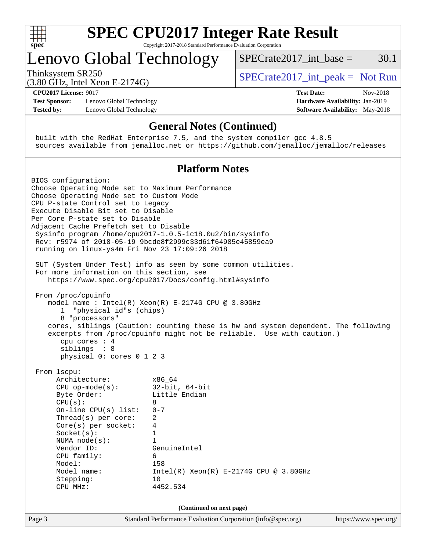

# **[SPEC CPU2017 Integer Rate Result](http://www.spec.org/auto/cpu2017/Docs/result-fields.html#SPECCPU2017IntegerRateResult)**

Copyright 2017-2018 Standard Performance Evaluation Corporation

### Lenovo Global Technology

Thinksystem SR250  $SPECrate2017$ \_int\_peak = Not Run

SPECrate2017 int\_base =  $30.1$ 

(3.80 GHz, Intel Xeon E-2174G) **[CPU2017 License:](http://www.spec.org/auto/cpu2017/Docs/result-fields.html#CPU2017License)** 9017 **[Test Date:](http://www.spec.org/auto/cpu2017/Docs/result-fields.html#TestDate)** Nov-2018

**[Test Sponsor:](http://www.spec.org/auto/cpu2017/Docs/result-fields.html#TestSponsor)** Lenovo Global Technology **[Hardware Availability:](http://www.spec.org/auto/cpu2017/Docs/result-fields.html#HardwareAvailability)** Jan-2019 **[Tested by:](http://www.spec.org/auto/cpu2017/Docs/result-fields.html#Testedby)** Lenovo Global Technology **[Software Availability:](http://www.spec.org/auto/cpu2017/Docs/result-fields.html#SoftwareAvailability)** May-2018

#### **[General Notes \(Continued\)](http://www.spec.org/auto/cpu2017/Docs/result-fields.html#GeneralNotes)**

 built with the RedHat Enterprise 7.5, and the system compiler gcc 4.8.5 sources available from jemalloc.net or <https://github.com/jemalloc/jemalloc/releases>

#### **[Platform Notes](http://www.spec.org/auto/cpu2017/Docs/result-fields.html#PlatformNotes)**

Page 3 Standard Performance Evaluation Corporation [\(info@spec.org\)](mailto:info@spec.org) <https://www.spec.org/> BIOS configuration: Choose Operating Mode set to Maximum Performance Choose Operating Mode set to Custom Mode CPU P-state Control set to Legacy Execute Disable Bit set to Disable Per Core P-state set to Disable Adjacent Cache Prefetch set to Disable Sysinfo program /home/cpu2017-1.0.5-ic18.0u2/bin/sysinfo Rev: r5974 of 2018-05-19 9bcde8f2999c33d61f64985e45859ea9 running on linux-ys4m Fri Nov 23 17:09:26 2018 SUT (System Under Test) info as seen by some common utilities. For more information on this section, see <https://www.spec.org/cpu2017/Docs/config.html#sysinfo> From /proc/cpuinfo model name : Intel(R) Xeon(R) E-2174G CPU @ 3.80GHz 1 "physical id"s (chips) 8 "processors" cores, siblings (Caution: counting these is hw and system dependent. The following excerpts from /proc/cpuinfo might not be reliable. Use with caution.) cpu cores : 4 siblings : 8 physical 0: cores 0 1 2 3 From lscpu: Architecture: x86\_64 CPU op-mode(s): 32-bit, 64-bit Byte Order: Little Endian  $CPU(s):$  8 On-line CPU(s) list: 0-7 Thread(s) per core: 2 Core(s) per socket: 4 Socket(s): 1 NUMA node(s): 1 Vendor ID: GenuineIntel CPU family: 6 Model: 158 Model name: Intel(R) Xeon(R) E-2174G CPU @ 3.80GHz Stepping: 10 CPU MHz: 4452.534 **(Continued on next page)**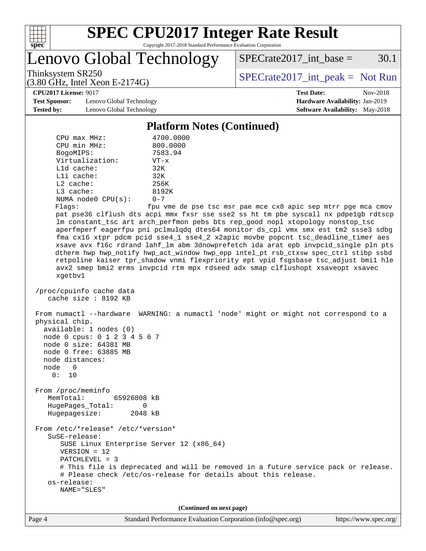

Lenovo Global Technology

 $SPECTate2017\_int\_base = 30.1$ 

(3.80 GHz, Intel Xeon E-2174G)

Thinksystem SR250<br>  $(3.80 \text{ GHz} \text{ Intel } \text{Yoon } E$  2174G)<br> [SPECrate2017\\_int\\_peak =](http://www.spec.org/auto/cpu2017/Docs/result-fields.html#SPECrate2017intpeak) Not Run

**[CPU2017 License:](http://www.spec.org/auto/cpu2017/Docs/result-fields.html#CPU2017License)** 9017 **[Test Date:](http://www.spec.org/auto/cpu2017/Docs/result-fields.html#TestDate)** Nov-2018

**[Test Sponsor:](http://www.spec.org/auto/cpu2017/Docs/result-fields.html#TestSponsor)** Lenovo Global Technology **[Hardware Availability:](http://www.spec.org/auto/cpu2017/Docs/result-fields.html#HardwareAvailability)** Jan-2019 **[Tested by:](http://www.spec.org/auto/cpu2017/Docs/result-fields.html#Testedby)** Lenovo Global Technology **[Software Availability:](http://www.spec.org/auto/cpu2017/Docs/result-fields.html#SoftwareAvailability)** May-2018

**[Platform Notes \(Continued\)](http://www.spec.org/auto/cpu2017/Docs/result-fields.html#PlatformNotes)**

| $CPU$ $max$ $MHz$ :                                                                                                                                              | 4700.0000                                                                                                                                                                                                                                                                                                                                                                                                                                                                                                                                                                                                                                                                                              |  |  |  |
|------------------------------------------------------------------------------------------------------------------------------------------------------------------|--------------------------------------------------------------------------------------------------------------------------------------------------------------------------------------------------------------------------------------------------------------------------------------------------------------------------------------------------------------------------------------------------------------------------------------------------------------------------------------------------------------------------------------------------------------------------------------------------------------------------------------------------------------------------------------------------------|--|--|--|
| CPU min MHz:                                                                                                                                                     | 800.0000                                                                                                                                                                                                                                                                                                                                                                                                                                                                                                                                                                                                                                                                                               |  |  |  |
| BogoMIPS:<br>Virtualization:                                                                                                                                     | 7583.94                                                                                                                                                                                                                                                                                                                                                                                                                                                                                                                                                                                                                                                                                                |  |  |  |
| $L1d$ cache:                                                                                                                                                     | $VT - x$<br>32K                                                                                                                                                                                                                                                                                                                                                                                                                                                                                                                                                                                                                                                                                        |  |  |  |
| Lli cache:                                                                                                                                                       | 32K                                                                                                                                                                                                                                                                                                                                                                                                                                                                                                                                                                                                                                                                                                    |  |  |  |
| L2 cache:                                                                                                                                                        | 256K                                                                                                                                                                                                                                                                                                                                                                                                                                                                                                                                                                                                                                                                                                   |  |  |  |
| L3 cache:                                                                                                                                                        | 8192K                                                                                                                                                                                                                                                                                                                                                                                                                                                                                                                                                                                                                                                                                                  |  |  |  |
| NUMA $node0$ $CPU(s)$ :                                                                                                                                          | $0 - 7$                                                                                                                                                                                                                                                                                                                                                                                                                                                                                                                                                                                                                                                                                                |  |  |  |
| Flags:                                                                                                                                                           | fpu vme de pse tsc msr pae mce cx8 apic sep mtrr pge mca cmov                                                                                                                                                                                                                                                                                                                                                                                                                                                                                                                                                                                                                                          |  |  |  |
| xgetbv1                                                                                                                                                          | pat pse36 clflush dts acpi mmx fxsr sse sse2 ss ht tm pbe syscall nx pdpelgb rdtscp<br>lm constant_tsc art arch_perfmon pebs bts rep_good nopl xtopology nonstop_tsc<br>aperfmperf eagerfpu pni pclmulqdq dtes64 monitor ds_cpl vmx smx est tm2 ssse3 sdbg<br>fma cx16 xtpr pdcm pcid sse4_1 sse4_2 x2apic movbe popcnt tsc_deadline_timer aes<br>xsave avx f16c rdrand lahf_lm abm 3dnowprefetch ida arat epb invpcid_single pln pts<br>dtherm hwp hwp_notify hwp_act_window hwp_epp intel_pt rsb_ctxsw spec_ctrl stibp ssbd<br>retpoline kaiser tpr_shadow vnmi flexpriority ept vpid fsgsbase tsc_adjust bmil hle<br>avx2 smep bmi2 erms invpcid rtm mpx rdseed adx smap clflushopt xsaveopt xsavec |  |  |  |
| /proc/cpuinfo cache data<br>cache size : 8192 KB                                                                                                                 |                                                                                                                                                                                                                                                                                                                                                                                                                                                                                                                                                                                                                                                                                                        |  |  |  |
| physical chip.<br>available: 1 nodes (0)<br>node 0 cpus: 0 1 2 3 4 5 6 7<br>node 0 size: 64381 MB<br>node 0 free: 63885 MB<br>node distances:<br>node 0<br>0: 10 | From numactl --hardware WARNING: a numactl 'node' might or might not correspond to a                                                                                                                                                                                                                                                                                                                                                                                                                                                                                                                                                                                                                   |  |  |  |
| From /proc/meminfo                                                                                                                                               |                                                                                                                                                                                                                                                                                                                                                                                                                                                                                                                                                                                                                                                                                                        |  |  |  |
| MemTotal:<br>65926808 kB                                                                                                                                         |                                                                                                                                                                                                                                                                                                                                                                                                                                                                                                                                                                                                                                                                                                        |  |  |  |
| HugePages_Total:                                                                                                                                                 | 0                                                                                                                                                                                                                                                                                                                                                                                                                                                                                                                                                                                                                                                                                                      |  |  |  |
| Hugepagesize:                                                                                                                                                    | 2048 kB                                                                                                                                                                                                                                                                                                                                                                                                                                                                                                                                                                                                                                                                                                |  |  |  |
| From /etc/*release* /etc/*version*<br>SuSE-release:                                                                                                              |                                                                                                                                                                                                                                                                                                                                                                                                                                                                                                                                                                                                                                                                                                        |  |  |  |
| $VERSION = 12$                                                                                                                                                   | SUSE Linux Enterprise Server 12 (x86_64)                                                                                                                                                                                                                                                                                                                                                                                                                                                                                                                                                                                                                                                               |  |  |  |
| $PATCHLEVEL = 3$                                                                                                                                                 |                                                                                                                                                                                                                                                                                                                                                                                                                                                                                                                                                                                                                                                                                                        |  |  |  |
|                                                                                                                                                                  | # This file is deprecated and will be removed in a future service pack or release.                                                                                                                                                                                                                                                                                                                                                                                                                                                                                                                                                                                                                     |  |  |  |
|                                                                                                                                                                  | # Please check /etc/os-release for details about this release.                                                                                                                                                                                                                                                                                                                                                                                                                                                                                                                                                                                                                                         |  |  |  |
| os-release:                                                                                                                                                      |                                                                                                                                                                                                                                                                                                                                                                                                                                                                                                                                                                                                                                                                                                        |  |  |  |
| NAME="SLES"                                                                                                                                                      |                                                                                                                                                                                                                                                                                                                                                                                                                                                                                                                                                                                                                                                                                                        |  |  |  |
| (Continued on next page)                                                                                                                                         |                                                                                                                                                                                                                                                                                                                                                                                                                                                                                                                                                                                                                                                                                                        |  |  |  |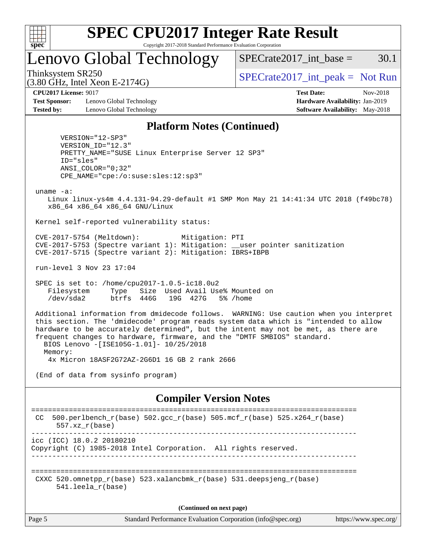

## Lenovo Global Technology

 $SPECTate2017\_int\_base = 30.1$ 

(3.80 GHz, Intel Xeon E-2174G)

Thinksystem SR250  $SPECrate2017$ \_int\_peak = Not Run

**[Test Sponsor:](http://www.spec.org/auto/cpu2017/Docs/result-fields.html#TestSponsor)** Lenovo Global Technology **[Hardware Availability:](http://www.spec.org/auto/cpu2017/Docs/result-fields.html#HardwareAvailability)** Jan-2019 **[Tested by:](http://www.spec.org/auto/cpu2017/Docs/result-fields.html#Testedby)** Lenovo Global Technology **[Software Availability:](http://www.spec.org/auto/cpu2017/Docs/result-fields.html#SoftwareAvailability)** May-2018

**[CPU2017 License:](http://www.spec.org/auto/cpu2017/Docs/result-fields.html#CPU2017License)** 9017 **[Test Date:](http://www.spec.org/auto/cpu2017/Docs/result-fields.html#TestDate)** Nov-2018

#### **[Platform Notes \(Continued\)](http://www.spec.org/auto/cpu2017/Docs/result-fields.html#PlatformNotes)**

 VERSION="12-SP3" VERSION\_ID="12.3" PRETTY\_NAME="SUSE Linux Enterprise Server 12 SP3" ID="sles" ANSI\_COLOR="0;32" CPE\_NAME="cpe:/o:suse:sles:12:sp3"

uname -a:

 Linux linux-ys4m 4.4.131-94.29-default #1 SMP Mon May 21 14:41:34 UTC 2018 (f49bc78) x86\_64 x86\_64 x86\_64 GNU/Linux

Kernel self-reported vulnerability status:

 CVE-2017-5754 (Meltdown): Mitigation: PTI CVE-2017-5753 (Spectre variant 1): Mitigation: \_\_user pointer sanitization CVE-2017-5715 (Spectre variant 2): Mitigation: IBRS+IBPB

run-level 3 Nov 23 17:04

 SPEC is set to: /home/cpu2017-1.0.5-ic18.0u2 Filesystem Type Size Used Avail Use% Mounted on /dev/sda2 btrfs 446G 19G 427G 5% /home

 Additional information from dmidecode follows. WARNING: Use caution when you interpret this section. The 'dmidecode' program reads system data which is "intended to allow hardware to be accurately determined", but the intent may not be met, as there are frequent changes to hardware, firmware, and the "DMTF SMBIOS" standard. BIOS Lenovo -[ISE105G-1.01]- 10/25/2018 Memory:

4x Micron 18ASF2G72AZ-2G6D1 16 GB 2 rank 2666

(End of data from sysinfo program)

#### **[Compiler Version Notes](http://www.spec.org/auto/cpu2017/Docs/result-fields.html#CompilerVersionNotes)**

```
==============================================================================
 CC 500.perlbench_r(base) 502.gcc_r(base) 505.mcf_r(base) 525.x264_r(base)
      557.xz_r(base)
       ------------------------------------------------------------------------------
icc (ICC) 18.0.2 20180210
Copyright (C) 1985-2018 Intel Corporation. All rights reserved.
------------------------------------------------------------------------------
==============================================================================
 CXXC 520.omnetpp_r(base) 523.xalancbmk_r(base) 531.deepsjeng_r(base)
       541.leela_r(base)
```
**(Continued on next page)**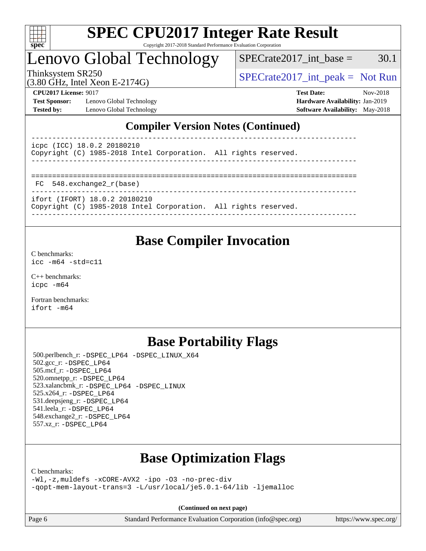

### Lenovo Global Technology

Thinksystem SR250  $SPECrate2017$ \_int\_peak = Not Run  $SPECTate2017\_int\_base = 30.1$ 

(3.80 GHz, Intel Xeon E-2174G)

**[Test Sponsor:](http://www.spec.org/auto/cpu2017/Docs/result-fields.html#TestSponsor)** Lenovo Global Technology **[Hardware Availability:](http://www.spec.org/auto/cpu2017/Docs/result-fields.html#HardwareAvailability)** Jan-2019 **[Tested by:](http://www.spec.org/auto/cpu2017/Docs/result-fields.html#Testedby)** Lenovo Global Technology **[Software Availability:](http://www.spec.org/auto/cpu2017/Docs/result-fields.html#SoftwareAvailability)** May-2018

**[CPU2017 License:](http://www.spec.org/auto/cpu2017/Docs/result-fields.html#CPU2017License)** 9017 **[Test Date:](http://www.spec.org/auto/cpu2017/Docs/result-fields.html#TestDate)** Nov-2018

#### **[Compiler Version Notes \(Continued\)](http://www.spec.org/auto/cpu2017/Docs/result-fields.html#CompilerVersionNotes)**

| icpc (ICC) 18.0.2 20180210<br>Copyright (C) 1985-2018 Intel Corporation. All rights reserved.    |  |
|--------------------------------------------------------------------------------------------------|--|
| FC 548.exchange2 r(base)                                                                         |  |
| ifort (IFORT) 18.0.2 20180210<br>Copyright (C) 1985-2018 Intel Corporation. All rights reserved. |  |

------------------------------------------------------------------------------

### **[Base Compiler Invocation](http://www.spec.org/auto/cpu2017/Docs/result-fields.html#BaseCompilerInvocation)**

[C benchmarks](http://www.spec.org/auto/cpu2017/Docs/result-fields.html#Cbenchmarks): [icc -m64 -std=c11](http://www.spec.org/cpu2017/results/res2018q4/cpu2017-20181126-09887.flags.html#user_CCbase_intel_icc_64bit_c11_33ee0cdaae7deeeab2a9725423ba97205ce30f63b9926c2519791662299b76a0318f32ddfffdc46587804de3178b4f9328c46fa7c2b0cd779d7a61945c91cd35)

[C++ benchmarks:](http://www.spec.org/auto/cpu2017/Docs/result-fields.html#CXXbenchmarks) [icpc -m64](http://www.spec.org/cpu2017/results/res2018q4/cpu2017-20181126-09887.flags.html#user_CXXbase_intel_icpc_64bit_4ecb2543ae3f1412ef961e0650ca070fec7b7afdcd6ed48761b84423119d1bf6bdf5cad15b44d48e7256388bc77273b966e5eb805aefd121eb22e9299b2ec9d9)

[Fortran benchmarks](http://www.spec.org/auto/cpu2017/Docs/result-fields.html#Fortranbenchmarks): [ifort -m64](http://www.spec.org/cpu2017/results/res2018q4/cpu2017-20181126-09887.flags.html#user_FCbase_intel_ifort_64bit_24f2bb282fbaeffd6157abe4f878425411749daecae9a33200eee2bee2fe76f3b89351d69a8130dd5949958ce389cf37ff59a95e7a40d588e8d3a57e0c3fd751)

### **[Base Portability Flags](http://www.spec.org/auto/cpu2017/Docs/result-fields.html#BasePortabilityFlags)**

 500.perlbench\_r: [-DSPEC\\_LP64](http://www.spec.org/cpu2017/results/res2018q4/cpu2017-20181126-09887.flags.html#b500.perlbench_r_basePORTABILITY_DSPEC_LP64) [-DSPEC\\_LINUX\\_X64](http://www.spec.org/cpu2017/results/res2018q4/cpu2017-20181126-09887.flags.html#b500.perlbench_r_baseCPORTABILITY_DSPEC_LINUX_X64) 502.gcc\_r: [-DSPEC\\_LP64](http://www.spec.org/cpu2017/results/res2018q4/cpu2017-20181126-09887.flags.html#suite_basePORTABILITY502_gcc_r_DSPEC_LP64) 505.mcf\_r: [-DSPEC\\_LP64](http://www.spec.org/cpu2017/results/res2018q4/cpu2017-20181126-09887.flags.html#suite_basePORTABILITY505_mcf_r_DSPEC_LP64) 520.omnetpp\_r: [-DSPEC\\_LP64](http://www.spec.org/cpu2017/results/res2018q4/cpu2017-20181126-09887.flags.html#suite_basePORTABILITY520_omnetpp_r_DSPEC_LP64) 523.xalancbmk\_r: [-DSPEC\\_LP64](http://www.spec.org/cpu2017/results/res2018q4/cpu2017-20181126-09887.flags.html#suite_basePORTABILITY523_xalancbmk_r_DSPEC_LP64) [-DSPEC\\_LINUX](http://www.spec.org/cpu2017/results/res2018q4/cpu2017-20181126-09887.flags.html#b523.xalancbmk_r_baseCXXPORTABILITY_DSPEC_LINUX) 525.x264\_r: [-DSPEC\\_LP64](http://www.spec.org/cpu2017/results/res2018q4/cpu2017-20181126-09887.flags.html#suite_basePORTABILITY525_x264_r_DSPEC_LP64) 531.deepsjeng\_r: [-DSPEC\\_LP64](http://www.spec.org/cpu2017/results/res2018q4/cpu2017-20181126-09887.flags.html#suite_basePORTABILITY531_deepsjeng_r_DSPEC_LP64) 541.leela\_r: [-DSPEC\\_LP64](http://www.spec.org/cpu2017/results/res2018q4/cpu2017-20181126-09887.flags.html#suite_basePORTABILITY541_leela_r_DSPEC_LP64) 548.exchange2\_r: [-DSPEC\\_LP64](http://www.spec.org/cpu2017/results/res2018q4/cpu2017-20181126-09887.flags.html#suite_basePORTABILITY548_exchange2_r_DSPEC_LP64) 557.xz\_r: [-DSPEC\\_LP64](http://www.spec.org/cpu2017/results/res2018q4/cpu2017-20181126-09887.flags.html#suite_basePORTABILITY557_xz_r_DSPEC_LP64)

## **[Base Optimization Flags](http://www.spec.org/auto/cpu2017/Docs/result-fields.html#BaseOptimizationFlags)**

[C benchmarks](http://www.spec.org/auto/cpu2017/Docs/result-fields.html#Cbenchmarks):

[-Wl,-z,muldefs](http://www.spec.org/cpu2017/results/res2018q4/cpu2017-20181126-09887.flags.html#user_CCbase_link_force_multiple1_b4cbdb97b34bdee9ceefcfe54f4c8ea74255f0b02a4b23e853cdb0e18eb4525ac79b5a88067c842dd0ee6996c24547a27a4b99331201badda8798ef8a743f577) [-xCORE-AVX2](http://www.spec.org/cpu2017/results/res2018q4/cpu2017-20181126-09887.flags.html#user_CCbase_f-xCORE-AVX2) [-ipo](http://www.spec.org/cpu2017/results/res2018q4/cpu2017-20181126-09887.flags.html#user_CCbase_f-ipo) [-O3](http://www.spec.org/cpu2017/results/res2018q4/cpu2017-20181126-09887.flags.html#user_CCbase_f-O3) [-no-prec-div](http://www.spec.org/cpu2017/results/res2018q4/cpu2017-20181126-09887.flags.html#user_CCbase_f-no-prec-div) [-qopt-mem-layout-trans=3](http://www.spec.org/cpu2017/results/res2018q4/cpu2017-20181126-09887.flags.html#user_CCbase_f-qopt-mem-layout-trans_de80db37974c74b1f0e20d883f0b675c88c3b01e9d123adea9b28688d64333345fb62bc4a798493513fdb68f60282f9a726aa07f478b2f7113531aecce732043) [-L/usr/local/je5.0.1-64/lib](http://www.spec.org/cpu2017/results/res2018q4/cpu2017-20181126-09887.flags.html#user_CCbase_jemalloc_link_path64_4b10a636b7bce113509b17f3bd0d6226c5fb2346b9178c2d0232c14f04ab830f976640479e5c33dc2bcbbdad86ecfb6634cbbd4418746f06f368b512fced5394) [-ljemalloc](http://www.spec.org/cpu2017/results/res2018q4/cpu2017-20181126-09887.flags.html#user_CCbase_jemalloc_link_lib_d1249b907c500fa1c0672f44f562e3d0f79738ae9e3c4a9c376d49f265a04b9c99b167ecedbf6711b3085be911c67ff61f150a17b3472be731631ba4d0471706)

**(Continued on next page)**

Page 6 Standard Performance Evaluation Corporation [\(info@spec.org\)](mailto:info@spec.org) <https://www.spec.org/>